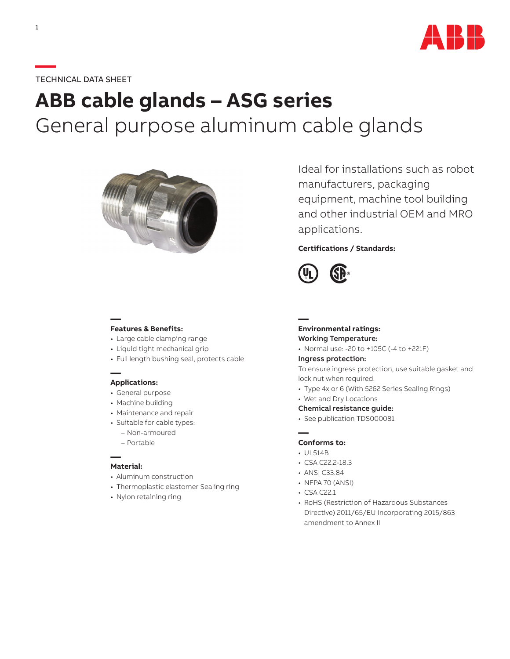

# **—**TECHNICAL DATA SHEET

# **ABB cable glands – ASG series** General purpose aluminum cable glands



Ideal for installations such as robot manufacturers, packaging equipment, machine tool building and other industrial OEM and MRO applications.

## **Certifications / Standards:**



## **— Features & Benefits:**

- Large cable clamping range
- Liquid tight mechanical grip
- Full length bushing seal, protects cable

#### **— Applications:**

- General purpose
- Machine building
- Maintenance and repair
- Suitable for cable types:
	- Non-armoured
	- Portable

#### **— Material:**

- Aluminum construction
- Thermoplastic elastomer Sealing ring
- Nylon retaining ring

#### **— Environmental ratings:** Working Temperature:

• Normal use: -20 to +105C (-4 to +221F)

#### Ingress protection:

To ensure ingress protection, use suitable gasket and lock nut when required.

- Type 4x or 6 (With 5262 Series Sealing Rings)
- Wet and Dry Locations
- Chemical resistance guide:
- See publication TDS000081

#### **— Conforms to:**

- UL514B
- CSA C22.2-18.3
- ANSI C33.84
- NFPA 70 (ANSI)
- CSA C22.1
- RoHS (Restriction of Hazardous Substances Directive) 2011/65/EU Incorporating 2015/863 amendment to Annex II